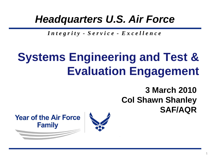## *Headquarters U.S. Air Force*

*I n t e g r i t y - S e r v i c e - E x c e l l e n c e*

# **Systems Engineering and Test & Evaluation Engagement**

**3 March 2010 Col Shawn Shanley SAF/AQR**

**Year of the Air Force Family** 

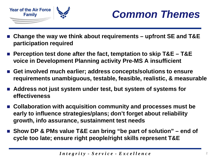



- **Change the way we think about requirements – upfront SE and T&E participation required**
- **Perception test done after the fact, temptation to skip T&E – T&E voice in Development Planning activity Pre-MS A insufficient**
- Get involved much earlier; address concepts/solutions to ensure **requirements unambiguous, testable, feasible, realistic, & measurable**
- Address not just system under test, but system of systems for **effectiveness**
- Collaboration with acquisition community and processes must be **early to influence strategies/plans; don't forget about reliability growth, info assurance, sustainment test needs**
- Show DP & PMs value T&E can bring "be part of solution" end of **cycle too late; ensure right people/right skills represent T&E**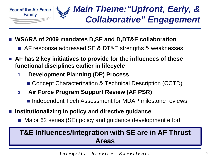

- **WSARA of 2009 mandates D,SE and D,DT&E collaboration**
	- AF response addressed SE & DT&E strengths & weaknesses
- AF has 2 key initiatives to provide for the influences of these **functional disciplines earlier in lifecycle**
	- **1. Development Planning (DP) Process**
		- Concept Characterization & Technical Description (CCTD)
	- **2. Air Force Program Support Review (AF PSR)**
		- Independent Tech Assessment for MDAP milestone reviews
- **Institutionalizing in policy and directive guidance**
	- Major 62 series (SE) policy and guidance development effort

### **T&E Influences/Integration with SE are in AF Thrust Areas**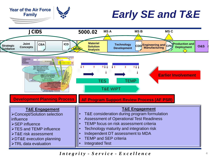

## *Early SE and T&E*

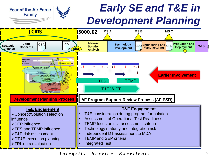## *Early SE and T&E in Development Planning*



**Year of the Air Force Family**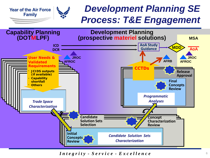### *Development Planning SE Process: T&E Engagement*



**Year of the Air Force Family**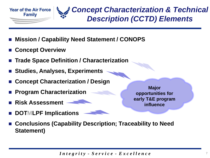

### *Concept Characterization & Technical Description (CCTD) Elements*

- **Mission / Capability Need Statement / CONOPS**
- **Concept Overview**
- **Trade Space Definition / Characterization**
- **Studies, Analyses, Experiments**
- **Concept Characterization / Design**
- **Program Characterization**
- **Risk Assessment**
- **DOTMLPF Implications**

**Major opportunities for early T&E program influence**

 **Conclusions (Capability Description; Traceability to Need Statement)**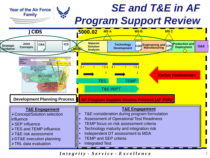### *SE and T&E in AF*  **Year of the Air Force Family** *Program Support Review*

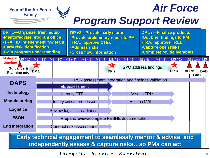

*Integrity - Service - Excellence*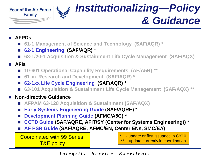*Institutionalizing—Policy*  **Year of the Air Force Age Family** *& Guidance*

#### **AFPDs**

- **61-1 Management of Science and Technology (SAF/AQR) \***
- **62-1 Engineering (SAF/AQR) \***
- 63-1/20-1 Acquisition & Sustainment Life Cycle Management (SAF/AQX)

### **AFIs**

- 10-601 Operational Capability Requirements (AF/A5R) \*\*
- **61-xx Research and Development (SAF/AQR) \***
- **62-1xx Life Cycle Engineering (SAF/AQR) \***
- 63-101 Acquisition & Sustainment Life Cycle Management (SAF/AQX) \*\*

#### **Non-directive Guidance**

- **AFPAM 63-128 Acquisition & Sustainment (SAF/AQX)**
- **Early Systems Engineering Guide (SAF/AQRE) \***
- **Development Planning Guide (AFMC/A5C) \***
- **CCTD Guide (SAF/AQRE, AFIT/SY (Center for Systems Engineering)) \***
- **AF PSR Guide (SAF/AQRE, AFMC/EN, Center ENs, SMC/EA)**

Coordinated with 99 Series,  $\begin{bmatrix} 1 & 0 & 0 \\ 0 & 1 & 0 \\ 0 & 0 & 1 \end{bmatrix}^{*}$  - update currently in coordination T&E policy

- update or first issuance in CY10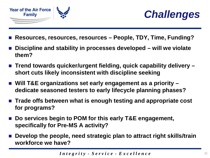



- **Resources, resources, resources – People, TDY, Time, Funding?**
- **Discipline and stability in processes developed – will we violate them?**
- Trend towards quicker/urgent fielding, quick capability delivery **short cuts likely inconsistent with discipline seeking**
- Will T&E organizations set early engagement as a priority **dedicate seasoned testers to early lifecycle planning phases?**
- Trade offs between what is enough testing and appropriate cost **for programs?**
- Do services begin to POM for this early T&E engagement, **specifically for Pre-MS A activity?**
- Develop the people, need strategic plan to attract right skills/train **workforce we have?**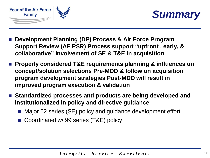



- **Development Planning (DP) Process & Air Force Program Support Review (AF PSR) Process support "upfront , early, & collaborative" involvement of SE & T&E in acquisition**
- Properly considered T&E requirements planning & influences on **concept/solution selections Pre-MDD & follow on acquisition program development strategies Post-MDD will result in improved program execution & validation**
- **Standardized processes and products are being developed and institutionalized in policy and directive guidance**
	- Major 62 series (SE) policy and guidance development effort
	- Coordinated w/ 99 series (T&E) policy